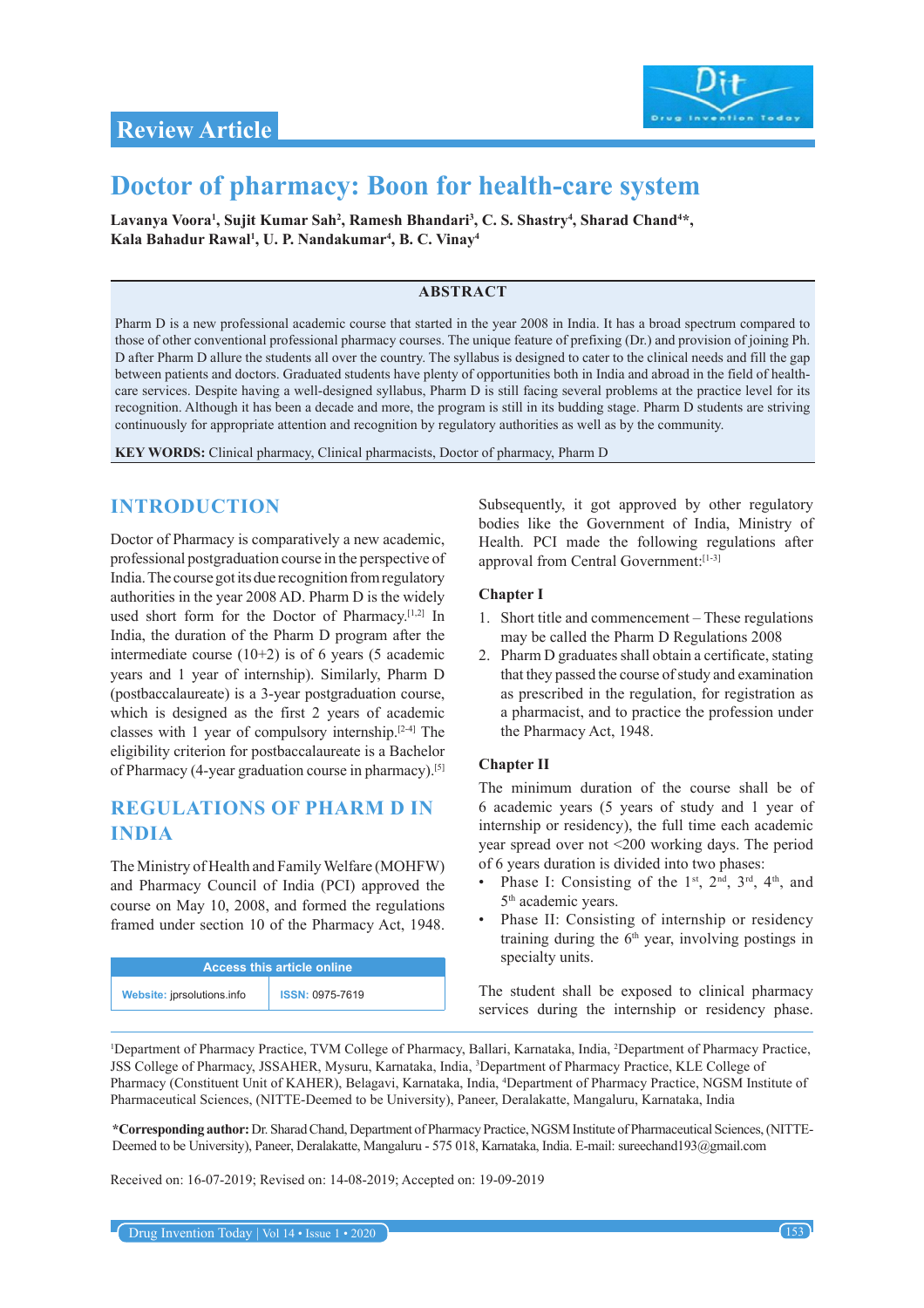

# **Doctor of pharmacy: Boon for health-care system**

Lavanya Voora<sup>ı</sup>, Sujit Kumar Sah<sup>2</sup>, Ramesh Bhandari<sup>3</sup>, C. S. Shastry<sup>4</sup>, Sharad Chand<sup>4\*</sup>, **Kala Bahadur Rawal1 , U. P. Nandakumar4 , B. C. Vinay4**

### **ABSTRACT**

Pharm D is a new professional academic course that started in the year 2008 in India. It has a broad spectrum compared to those of other conventional professional pharmacy courses. The unique feature of prefixing (Dr.) and provision of joining Ph. D after Pharm D allure the students all over the country. The syllabus is designed to cater to the clinical needs and fill the gap between patients and doctors. Graduated students have plenty of opportunities both in India and abroad in the field of healthcare services. Despite having a well-designed syllabus, Pharm D is still facing several problems at the practice level for its recognition. Although it has been a decade and more, the program is still in its budding stage. Pharm D students are striving continuously for appropriate attention and recognition by regulatory authorities as well as by the community.

**KEY WORDS:** Clinical pharmacy, Clinical pharmacists, Doctor of pharmacy, Pharm D

# **INTRODUCTION**

Doctor of Pharmacy is comparatively a new academic, professional postgraduation course in the perspective of India. The course got its due recognition from regulatory authorities in the year 2008 AD. Pharm D is the widely used short form for the Doctor of Pharmacy.<sup>[1,2]</sup> In India, the duration of the Pharm D program after the intermediate course  $(10+2)$  is of 6 years (5 academic years and 1 year of internship). Similarly, Pharm D (postbaccalaureate) is a 3-year postgraduation course, which is designed as the first 2 years of academic classes with 1 year of compulsory internship.[2-4] The eligibility criterion for postbaccalaureate is a Bachelor of Pharmacy (4-year graduation course in pharmacy).<sup>[5]</sup>

# **REGULATIONS OF PHARM D IN INDIA**

The Ministry of Health and Family Welfare (MOHFW) and Pharmacy Council of India (PCI) approved the course on May 10, 2008, and formed the regulations framed under section 10 of the Pharmacy Act, 1948.

| <b>Access this article online</b> |                        |
|-----------------------------------|------------------------|
| Website: jprsolutions.info        | <b>ISSN: 0975-7619</b> |

Subsequently, it got approved by other regulatory bodies like the Government of India, Ministry of Health. PCI made the following regulations after approval from Central Government:[1-3]

### **Chapter I**

- 1. Short title and commencement These regulations may be called the Pharm D Regulations 2008
- 2. Pharm D graduates shall obtain a certificate, stating that they passed the course of study and examination as prescribed in the regulation, for registration as a pharmacist, and to practice the profession under the Pharmacy Act, 1948.

### **Chapter II**

The minimum duration of the course shall be of 6 academic years (5 years of study and 1 year of internship or residency), the full time each academic year spread over not <200 working days. The period of 6 years duration is divided into two phases:

- Phase I: Consisting of the  $1<sup>st</sup>$ ,  $2<sup>nd</sup>$ ,  $3<sup>rd</sup>$ ,  $4<sup>th</sup>$ , and 5<sup>th</sup> academic years.
- Phase II: Consisting of internship or residency training during the  $6<sup>th</sup>$  year, involving postings in specialty units.

The student shall be exposed to clinical pharmacy services during the internship or residency phase.

<sup>1</sup>Department of Pharmacy Practice, TVM College of Pharmacy, Ballari, Karnataka, India, <sup>2</sup>Department of Pharmacy Practice, JSS College of Pharmacy, JSSAHER, Mysuru, Karnataka, India, <sup>3</sup> Department of Pharmacy Practice, KLE College of Pharmacy (Constituent Unit of KAHER), Belagavi, Karnataka, India, <sup>4</sup> Department of Pharmacy Practice, NGSM Institute of Pharmaceutical Sciences, (NITTE-Deemed to be University), Paneer, Deralakatte, Mangaluru, Karnataka, India

**\*Corresponding author:** Dr. Sharad Chand, Department of Pharmacy Practice, NGSM Institute of Pharmaceutical Sciences, (NITTE-Deemed to be University), Paneer, Deralakatte, Mangaluru - 575 018, Karnataka, India. E-mail: sureechand193@gmail.com

Received on: 16-07-2019; Revised on: 14-08-2019; Accepted on: 19-09-2019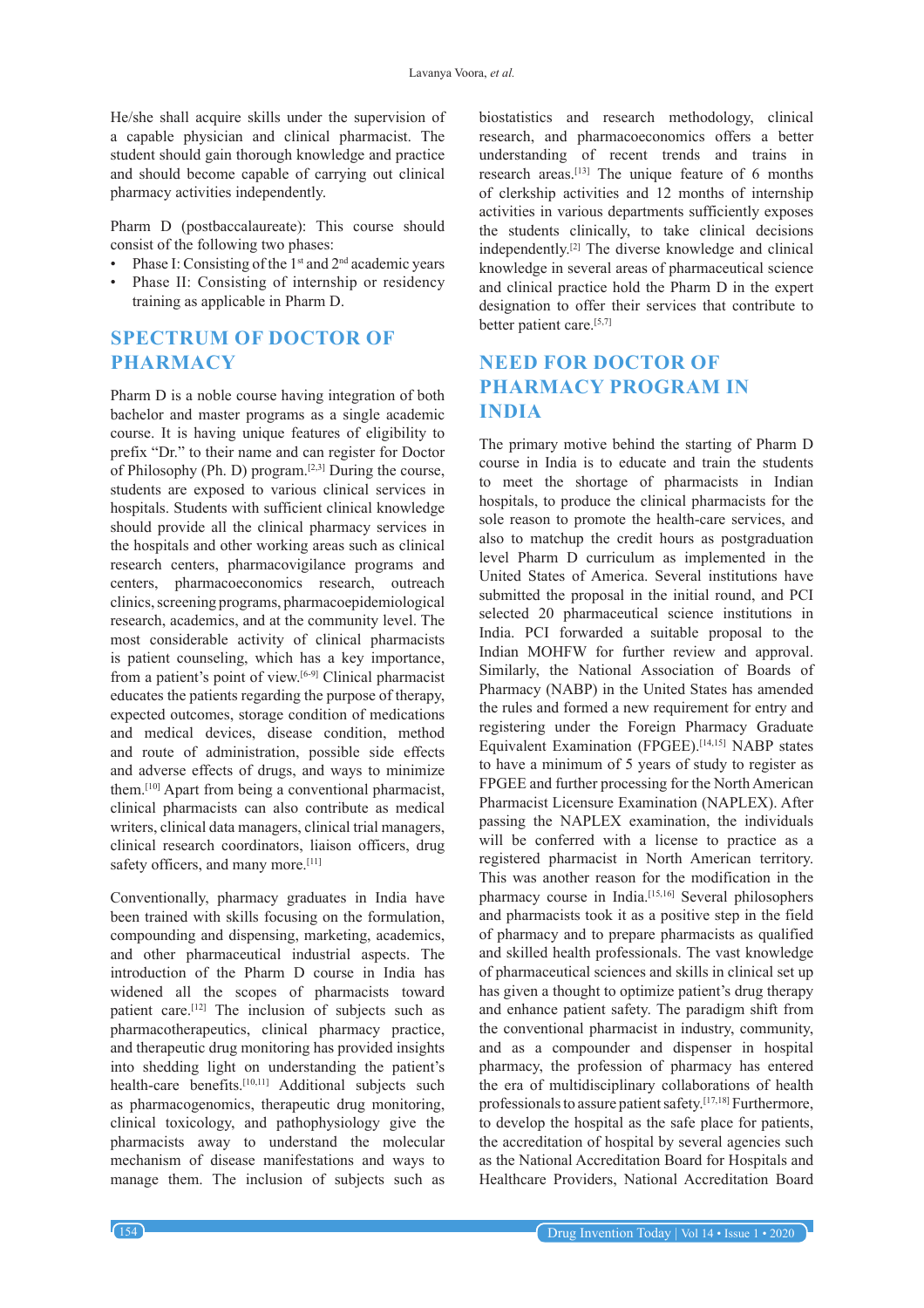He/she shall acquire skills under the supervision of a capable physician and clinical pharmacist. The student should gain thorough knowledge and practice and should become capable of carrying out clinical pharmacy activities independently.

Pharm D (postbaccalaureate): This course should consist of the following two phases:

- Phase I: Consisting of the  $1<sup>st</sup>$  and  $2<sup>nd</sup>$  academic years
- Phase II: Consisting of internship or residency training as applicable in Pharm D.

# **SPECTRUM OF DOCTOR OF PHARMACY**

Pharm D is a noble course having integration of both bachelor and master programs as a single academic course. It is having unique features of eligibility to prefix "Dr." to their name and can register for Doctor of Philosophy (Ph. D) program.<sup>[2,3]</sup> During the course, students are exposed to various clinical services in hospitals. Students with sufficient clinical knowledge should provide all the clinical pharmacy services in the hospitals and other working areas such as clinical research centers, pharmacovigilance programs and centers, pharmacoeconomics research, outreach clinics, screening programs, pharmacoepidemiological research, academics, and at the community level. The most considerable activity of clinical pharmacists is patient counseling, which has a key importance, from a patient's point of view.<sup>[6-9]</sup> Clinical pharmacist educates the patients regarding the purpose of therapy, expected outcomes, storage condition of medications and medical devices, disease condition, method and route of administration, possible side effects and adverse effects of drugs, and ways to minimize them.[10] Apart from being a conventional pharmacist, clinical pharmacists can also contribute as medical writers, clinical data managers, clinical trial managers, clinical research coordinators, liaison officers, drug safety officers, and many more.<sup>[11]</sup>

Conventionally, pharmacy graduates in India have been trained with skills focusing on the formulation, compounding and dispensing, marketing, academics, and other pharmaceutical industrial aspects. The introduction of the Pharm D course in India has widened all the scopes of pharmacists toward patient care.<sup>[12]</sup> The inclusion of subjects such as pharmacotherapeutics, clinical pharmacy practice, and therapeutic drug monitoring has provided insights into shedding light on understanding the patient's health-care benefits.<sup>[10,11]</sup> Additional subjects such as pharmacogenomics, therapeutic drug monitoring, clinical toxicology, and pathophysiology give the pharmacists away to understand the molecular mechanism of disease manifestations and ways to manage them. The inclusion of subjects such as biostatistics and research methodology, clinical research, and pharmacoeconomics offers a better understanding of recent trends and trains in research areas.<sup>[13]</sup> The unique feature of 6 months of clerkship activities and 12 months of internship activities in various departments sufficiently exposes the students clinically, to take clinical decisions independently.[2] The diverse knowledge and clinical knowledge in several areas of pharmaceutical science and clinical practice hold the Pharm D in the expert designation to offer their services that contribute to better patient care.[5,7]

# **NEED FOR DOCTOR OF PHARMACY PROGRAM IN INDIA**

The primary motive behind the starting of Pharm D course in India is to educate and train the students to meet the shortage of pharmacists in Indian hospitals, to produce the clinical pharmacists for the sole reason to promote the health-care services, and also to matchup the credit hours as postgraduation level Pharm D curriculum as implemented in the United States of America. Several institutions have submitted the proposal in the initial round, and PCI selected 20 pharmaceutical science institutions in India. PCI forwarded a suitable proposal to the Indian MOHFW for further review and approval. Similarly, the National Association of Boards of Pharmacy (NABP) in the United States has amended the rules and formed a new requirement for entry and registering under the Foreign Pharmacy Graduate Equivalent Examination (FPGEE).<sup>[14,15]</sup> NABP states to have a minimum of 5 years of study to register as FPGEE and further processing for the North American Pharmacist Licensure Examination (NAPLEX). After passing the NAPLEX examination, the individuals will be conferred with a license to practice as a registered pharmacist in North American territory. This was another reason for the modification in the pharmacy course in India.<sup>[15,16]</sup> Several philosophers and pharmacists took it as a positive step in the field of pharmacy and to prepare pharmacists as qualified and skilled health professionals. The vast knowledge of pharmaceutical sciences and skills in clinical set up has given a thought to optimize patient's drug therapy and enhance patient safety. The paradigm shift from the conventional pharmacist in industry, community, and as a compounder and dispenser in hospital pharmacy, the profession of pharmacy has entered the era of multidisciplinary collaborations of health professionals to assure patient safety.[17,18] Furthermore, to develop the hospital as the safe place for patients, the accreditation of hospital by several agencies such as the National Accreditation Board for Hospitals and Healthcare Providers, National Accreditation Board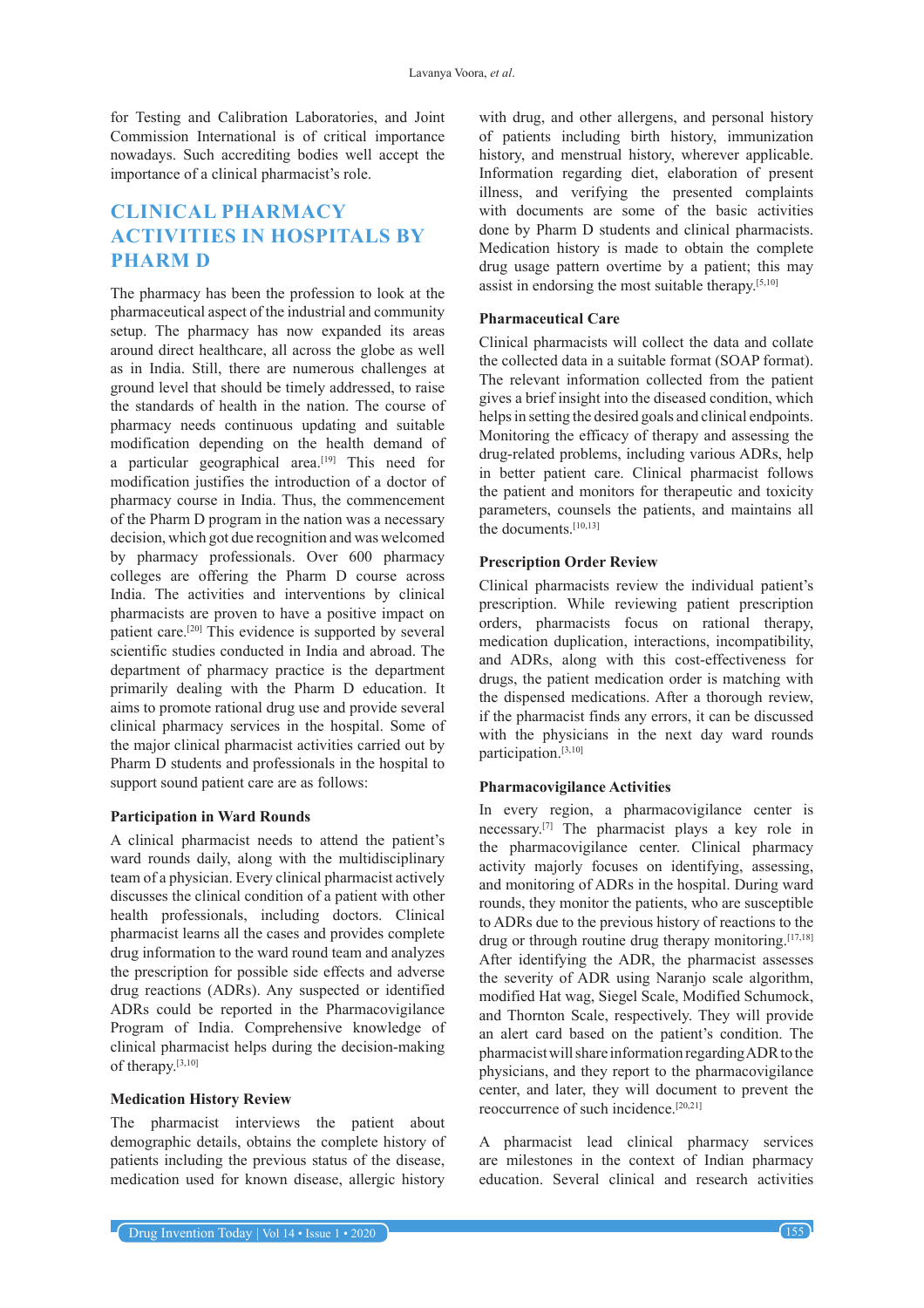for Testing and Calibration Laboratories, and Joint Commission International is of critical importance nowadays. Such accrediting bodies well accept the importance of a clinical pharmacist's role.

# **CLINICAL PHARMACY ACTIVITIES IN HOSPITALS BY PHARM D**

The pharmacy has been the profession to look at the pharmaceutical aspect of the industrial and community setup. The pharmacy has now expanded its areas around direct healthcare, all across the globe as well as in India. Still, there are numerous challenges at ground level that should be timely addressed, to raise the standards of health in the nation. The course of pharmacy needs continuous updating and suitable modification depending on the health demand of a particular geographical area.<sup>[19]</sup> This need for modification justifies the introduction of a doctor of pharmacy course in India. Thus, the commencement of the Pharm D program in the nation was a necessary decision, which got due recognition and was welcomed by pharmacy professionals. Over 600 pharmacy colleges are offering the Pharm D course across India. The activities and interventions by clinical pharmacists are proven to have a positive impact on patient care.[20] This evidence is supported by several scientific studies conducted in India and abroad. The department of pharmacy practice is the department primarily dealing with the Pharm D education. It aims to promote rational drug use and provide several clinical pharmacy services in the hospital. Some of the major clinical pharmacist activities carried out by Pharm D students and professionals in the hospital to support sound patient care are as follows:

### **Participation in Ward Rounds**

A clinical pharmacist needs to attend the patient's ward rounds daily, along with the multidisciplinary team of a physician. Every clinical pharmacist actively discusses the clinical condition of a patient with other health professionals, including doctors. Clinical pharmacist learns all the cases and provides complete drug information to the ward round team and analyzes the prescription for possible side effects and adverse drug reactions (ADRs). Any suspected or identified ADRs could be reported in the Pharmacovigilance Program of India. Comprehensive knowledge of clinical pharmacist helps during the decision-making of therapy.[3,10]

### **Medication History Review**

The pharmacist interviews the patient about demographic details, obtains the complete history of patients including the previous status of the disease, medication used for known disease, allergic history

with drug, and other allergens, and personal history of patients including birth history, immunization history, and menstrual history, wherever applicable. Information regarding diet, elaboration of present illness, and verifying the presented complaints with documents are some of the basic activities done by Pharm D students and clinical pharmacists. Medication history is made to obtain the complete drug usage pattern overtime by a patient; this may assist in endorsing the most suitable therapy.[5,10]

### **Pharmaceutical Care**

Clinical pharmacists will collect the data and collate the collected data in a suitable format (SOAP format). The relevant information collected from the patient gives a brief insight into the diseased condition, which helps in setting the desired goals and clinical endpoints. Monitoring the efficacy of therapy and assessing the drug-related problems, including various ADRs, help in better patient care. Clinical pharmacist follows the patient and monitors for therapeutic and toxicity parameters, counsels the patients, and maintains all the documents.[10,13]

#### **Prescription Order Review**

Clinical pharmacists review the individual patient's prescription. While reviewing patient prescription orders, pharmacists focus on rational therapy, medication duplication, interactions, incompatibility, and ADRs, along with this cost-effectiveness for drugs, the patient medication order is matching with the dispensed medications. After a thorough review, if the pharmacist finds any errors, it can be discussed with the physicians in the next day ward rounds participation.[3,10]

#### **Pharmacovigilance Activities**

In every region, a pharmacovigilance center is necessary.[7] The pharmacist plays a key role in the pharmacovigilance center. Clinical pharmacy activity majorly focuses on identifying, assessing, and monitoring of ADRs in the hospital. During ward rounds, they monitor the patients, who are susceptible to ADRs due to the previous history of reactions to the drug or through routine drug therapy monitoring.<sup>[17,18]</sup> After identifying the ADR, the pharmacist assesses the severity of ADR using Naranjo scale algorithm, modified Hat wag, Siegel Scale, Modified Schumock, and Thornton Scale, respectively. They will provide an alert card based on the patient's condition. The pharmacist will share information regarding ADR to the physicians, and they report to the pharmacovigilance center, and later, they will document to prevent the reoccurrence of such incidence.[20,21]

A pharmacist lead clinical pharmacy services are milestones in the context of Indian pharmacy education. Several clinical and research activities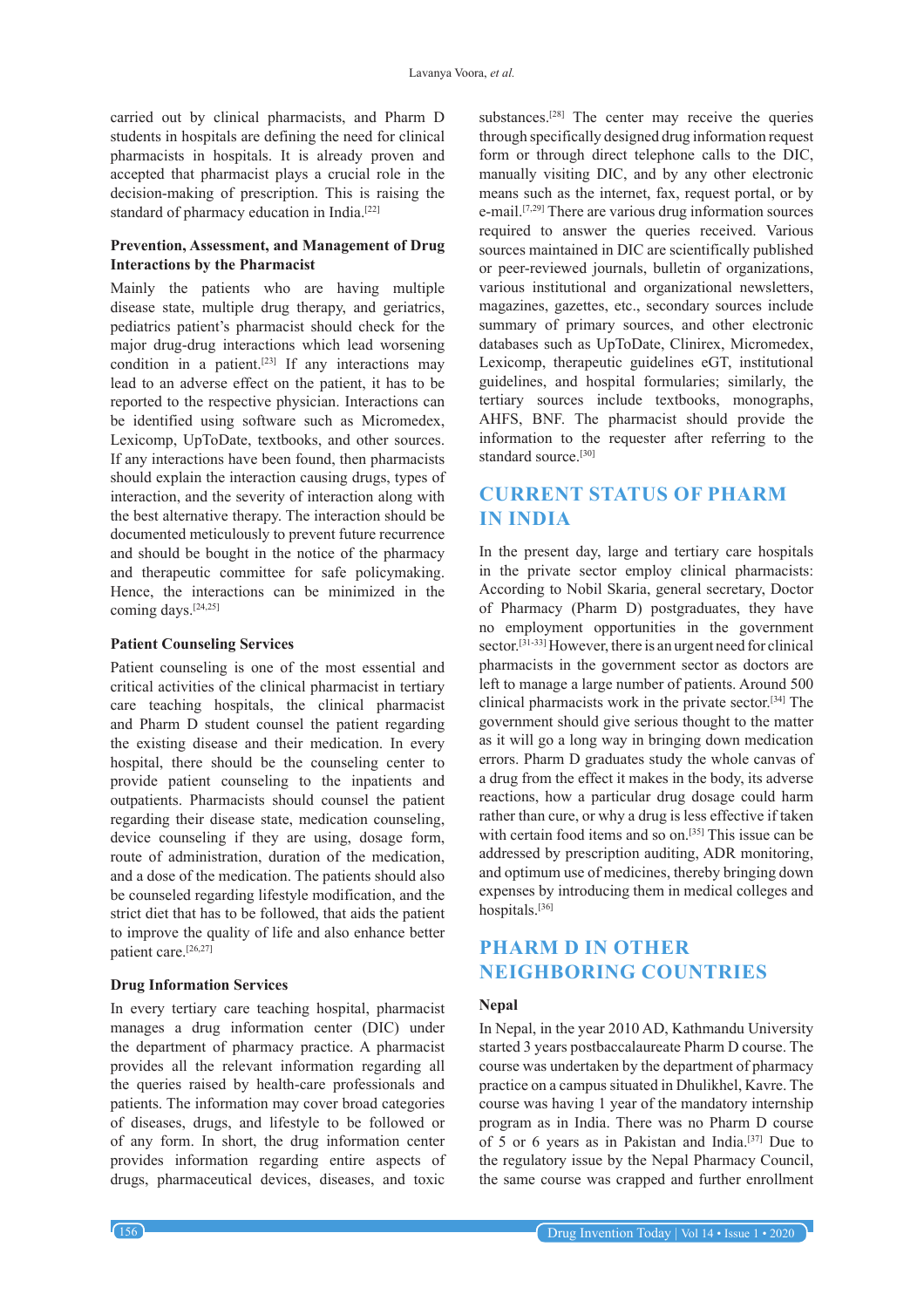carried out by clinical pharmacists, and Pharm D students in hospitals are defining the need for clinical pharmacists in hospitals. It is already proven and accepted that pharmacist plays a crucial role in the decision-making of prescription. This is raising the standard of pharmacy education in India.<sup>[22]</sup>

### **Prevention, Assessment, and Management of Drug Interactions by the Pharmacist**

Mainly the patients who are having multiple disease state, multiple drug therapy, and geriatrics, pediatrics patient's pharmacist should check for the major drug-drug interactions which lead worsening condition in a patient.<sup>[23]</sup> If any interactions may lead to an adverse effect on the patient, it has to be reported to the respective physician. Interactions can be identified using software such as Micromedex, Lexicomp, UpToDate, textbooks, and other sources. If any interactions have been found, then pharmacists should explain the interaction causing drugs, types of interaction, and the severity of interaction along with the best alternative therapy. The interaction should be documented meticulously to prevent future recurrence and should be bought in the notice of the pharmacy and therapeutic committee for safe policymaking. Hence, the interactions can be minimized in the coming days.[24,25]

#### **Patient Counseling Services**

Patient counseling is one of the most essential and critical activities of the clinical pharmacist in tertiary care teaching hospitals, the clinical pharmacist and Pharm D student counsel the patient regarding the existing disease and their medication. In every hospital, there should be the counseling center to provide patient counseling to the inpatients and outpatients. Pharmacists should counsel the patient regarding their disease state, medication counseling, device counseling if they are using, dosage form, route of administration, duration of the medication, and a dose of the medication. The patients should also be counseled regarding lifestyle modification, and the strict diet that has to be followed, that aids the patient to improve the quality of life and also enhance better patient care.[26,27]

#### **Drug Information Services**

In every tertiary care teaching hospital, pharmacist manages a drug information center (DIC) under the department of pharmacy practice. A pharmacist provides all the relevant information regarding all the queries raised by health-care professionals and patients. The information may cover broad categories of diseases, drugs, and lifestyle to be followed or of any form. In short, the drug information center provides information regarding entire aspects of drugs, pharmaceutical devices, diseases, and toxic

substances.<sup>[28]</sup> The center may receive the queries through specifically designed drug information request form or through direct telephone calls to the DIC, manually visiting DIC, and by any other electronic means such as the internet, fax, request portal, or by e-mail.[7,29] There are various drug information sources required to answer the queries received. Various sources maintained in DIC are scientifically published or peer-reviewed journals, bulletin of organizations, various institutional and organizational newsletters, magazines, gazettes, etc., secondary sources include summary of primary sources, and other electronic databases such as UpToDate, Clinirex, Micromedex, Lexicomp, therapeutic guidelines eGT, institutional guidelines, and hospital formularies; similarly, the tertiary sources include textbooks, monographs, AHFS, BNF. The pharmacist should provide the information to the requester after referring to the standard source.<sup>[30]</sup>

# **CURRENT STATUS OF PHARM IN INDIA**

In the present day, large and tertiary care hospitals in the private sector employ clinical pharmacists: According to Nobil Skaria, general secretary, Doctor of Pharmacy (Pharm D) postgraduates, they have no employment opportunities in the government sector.<sup>[31-33]</sup> However, there is an urgent need for clinical pharmacists in the government sector as doctors are left to manage a large number of patients. Around 500 clinical pharmacists work in the private sector.[34] The government should give serious thought to the matter as it will go a long way in bringing down medication errors. Pharm D graduates study the whole canvas of a drug from the effect it makes in the body, its adverse reactions, how a particular drug dosage could harm rather than cure, or why a drug is less effective if taken with certain food items and so on.<sup>[35]</sup> This issue can be addressed by prescription auditing, ADR monitoring, and optimum use of medicines, thereby bringing down expenses by introducing them in medical colleges and hospitals.[36]

# **PHARM D IN OTHER NEIGHBORING COUNTRIES**

### **Nepal**

In Nepal, in the year 2010 AD, Kathmandu University started 3 years postbaccalaureate Pharm D course. The course was undertaken by the department of pharmacy practice on a campus situated in Dhulikhel, Kavre. The course was having 1 year of the mandatory internship program as in India. There was no Pharm D course of 5 or 6 years as in Pakistan and India.[37] Due to the regulatory issue by the Nepal Pharmacy Council, the same course was crapped and further enrollment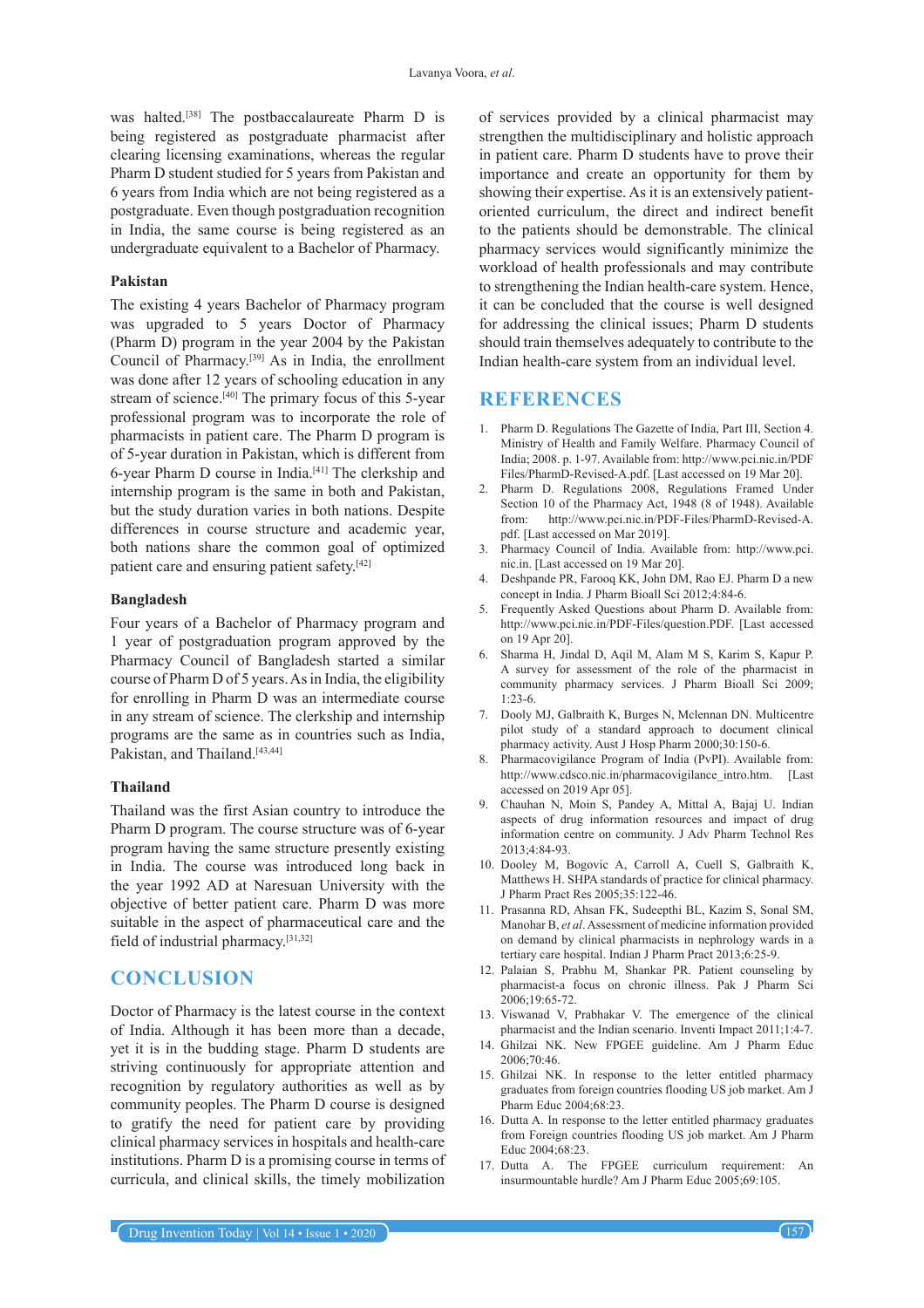was halted.[38] The postbaccalaureate Pharm D is being registered as postgraduate pharmacist after clearing licensing examinations, whereas the regular Pharm D student studied for 5 years from Pakistan and 6 years from India which are not being registered as a postgraduate. Even though postgraduation recognition in India, the same course is being registered as an undergraduate equivalent to a Bachelor of Pharmacy.

#### **Pakistan**

The existing 4 years Bachelor of Pharmacy program was upgraded to 5 years Doctor of Pharmacy (Pharm D) program in the year 2004 by the Pakistan Council of Pharmacy.[39] As in India, the enrollment was done after 12 years of schooling education in any stream of science.<sup>[40]</sup> The primary focus of this 5-year professional program was to incorporate the role of pharmacists in patient care. The Pharm D program is of 5-year duration in Pakistan, which is different from 6-year Pharm D course in India.[41] The clerkship and internship program is the same in both and Pakistan, but the study duration varies in both nations. Despite differences in course structure and academic year, both nations share the common goal of optimized patient care and ensuring patient safety.<sup>[42]</sup>

#### **Bangladesh**

Four years of a Bachelor of Pharmacy program and 1 year of postgraduation program approved by the Pharmacy Council of Bangladesh started a similar course of Pharm D of 5 years. As in India, the eligibility for enrolling in Pharm D was an intermediate course in any stream of science. The clerkship and internship programs are the same as in countries such as India, Pakistan, and Thailand.<sup>[43,44]</sup>

#### **Thailand**

Thailand was the first Asian country to introduce the Pharm D program. The course structure was of 6-year program having the same structure presently existing in India. The course was introduced long back in the year 1992 AD at Naresuan University with the objective of better patient care. Pharm D was more suitable in the aspect of pharmaceutical care and the field of industrial pharmacy.[31,32]

# **CONCLUSION**

Doctor of Pharmacy is the latest course in the context of India. Although it has been more than a decade, yet it is in the budding stage. Pharm D students are striving continuously for appropriate attention and recognition by regulatory authorities as well as by community peoples. The Pharm D course is designed to gratify the need for patient care by providing clinical pharmacy services in hospitals and health-care institutions. Pharm D is a promising course in terms of curricula, and clinical skills, the timely mobilization

of services provided by a clinical pharmacist may strengthen the multidisciplinary and holistic approach in patient care. Pharm D students have to prove their importance and create an opportunity for them by showing their expertise. As it is an extensively patientoriented curriculum, the direct and indirect benefit to the patients should be demonstrable. The clinical pharmacy services would significantly minimize the workload of health professionals and may contribute to strengthening the Indian health-care system. Hence, it can be concluded that the course is well designed for addressing the clinical issues; Pharm D students should train themselves adequately to contribute to the Indian health-care system from an individual level.

## **REFERENCES**

- 1. Pharm D. Regulations The Gazette of India, Part III, Section 4. Ministry of Health and Family Welfare. Pharmacy Council of India; 2008. p. 1-97. Available from: http://www.pci.nic.in/PDF Files/PharmD-Revised-A.pdf. [Last accessed on 19 Mar 20].
- 2. Pharm D. Regulations 2008, Regulations Framed Under Section 10 of the Pharmacy Act, 1948 (8 of 1948). Available from: http://www.pci.nic.in/PDF-Files/PharmD-Revised-A. pdf. [Last accessed on Mar 2019].
- 3. Pharmacy Council of India. Available from: http://www.pci. nic.in. [Last accessed on 19 Mar 20].
- 4. Deshpande PR, Farooq KK, John DM, Rao EJ. Pharm D a new concept in India. J Pharm Bioall Sci 2012;4:84-6.
- 5. Frequently Asked Questions about Pharm D. Available from: http://www.pci.nic.in/PDF-Files/question.PDF. [Last accessed on 19 Apr 20].
- 6. Sharma H, Jindal D, Aqil M, Alam M S, Karim S, Kapur P. A survey for assessment of the role of the pharmacist in community pharmacy services. J Pharm Bioall Sci 2009;  $1.23 - 6$
- 7. Dooly MJ, Galbraith K, Burges N, Mclennan DN. Multicentre pilot study of a standard approach to document clinical pharmacy activity. Aust J Hosp Pharm 2000;30:150-6.
- 8. Pharmacovigilance Program of India (PvPI). Available from: http://www.cdsco.nic.in/pharmacovigilance\_intro.htm. [Last accessed on 2019 Apr 05].
- 9. Chauhan N, Moin S, Pandey A, Mittal A, Bajaj U. Indian aspects of drug information resources and impact of drug information centre on community. J Adv Pharm Technol Res 2013;4:84-93.
- 10. Dooley M, Bogovic A, Carroll A, Cuell S, Galbraith K, Matthews H. SHPA standards of practice for clinical pharmacy. J Pharm Pract Res 2005;35:122-46.
- 11. Prasanna RD, Ahsan FK, Sudeepthi BL, Kazim S, Sonal SM, Manohar B, *et al*. Assessment of medicine information provided on demand by clinical pharmacists in nephrology wards in a tertiary care hospital. Indian J Pharm Pract 2013;6:25-9.
- 12. Palaian S, Prabhu M, Shankar PR. Patient counseling by pharmacist-a focus on chronic illness. Pak J Pharm Sci 2006;19:65-72.
- 13. Viswanad V, Prabhakar V. The emergence of the clinical pharmacist and the Indian scenario. Inventi Impact 2011;1:4-7.
- 14. Ghilzai NK. New FPGEE guideline. Am J Pharm Educ 2006;70:46.
- 15. Ghilzai NK. In response to the letter entitled pharmacy graduates from foreign countries flooding US job market. Am J Pharm Educ 2004;68:23.
- 16. Dutta A. In response to the letter entitled pharmacy graduates from Foreign countries flooding US job market. Am J Pharm Educ 2004;68:23.
- 17. Dutta A. The FPGEE curriculum requirement: An insurmountable hurdle? Am J Pharm Educ 2005;69:105.